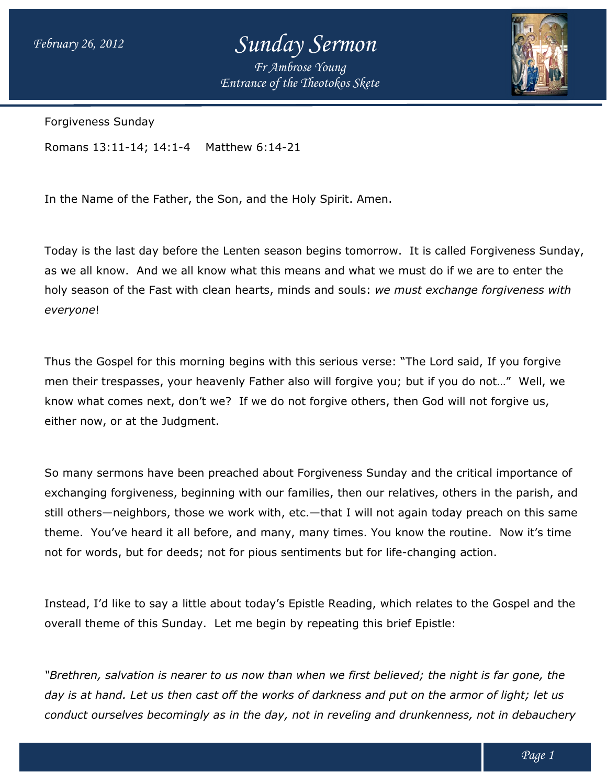# *Sunday Sermon*

*Entrance of the Theotokos Skete Fr Ambrose Young*



Forgiveness Sunday

Romans 13:11-14; 14:1-4 Matthew 6:14 Matthew 6:14-21

In the Name of the Father, the Son, and the Holy Spirit. Amen.

In the Name of the Father, the Son, and the Holy Spirit. Amen.<br>Today is the last day before the Lenten season begins tomorrow. It is called Forgiveness Sunday, as we all know. And we all know what this means and what we must do if we are to enter the must do if we enter the holy season of the Fast with clean hearts, minds and souls: we must exchange forgiveness with *everyone*!

Thus the Gospel for this morning begins with this serious verse: "The Lord said, If you forgive Thus the Gospel for this morning begins with this serious verse: "The Lord said, If you forgive<br>men their trespasses, your heavenly Father also will forgive you; but if you do not…" Well, we know what comes next, don't we? If we do not forgive others, then God will not forgive us, either now, or at the Judgment.

So many sermons have been preached about Forgiveness Sunday and the critical importance of So many sermons have been preached about Forgiveness Sunday and the critical importance of<br>exchanging forgiveness, beginning with our families, then our relatives, others in the parish, and still others—neighbors, those we work with, etc.—that I will not again today preach on this same theme. You've heard it all before, and many, many times. You know the routine. not for words, but for deeds; not for pious sentiments but for life-changing action. If we do not forgive others, then God will not forgive us,<br>hed about Forgiveness Sunday and the critical importance of<br>with our families, then our relatives, others in the parish, and<br>ork with, etc.—that I will not again t

Instead, I'd like to say a little about today's Epistle Reading, which relates to the Gospel and the overall theme of this Sunday. Let me begin by repeating this brief Epistle:

*"Brethren, salvation is nearer to us now than when we first believed; the night is far gone, the day is at hand. Let us then cast off the works of darkness and put on the armor of light; let us*  "Brethren, salvation is nearer to us now than when we first believed; the night is far gone, the<br>day is at hand. Let us then cast off the works of darkness and put on the armor of light; let us<br>conduct ourselves becomingly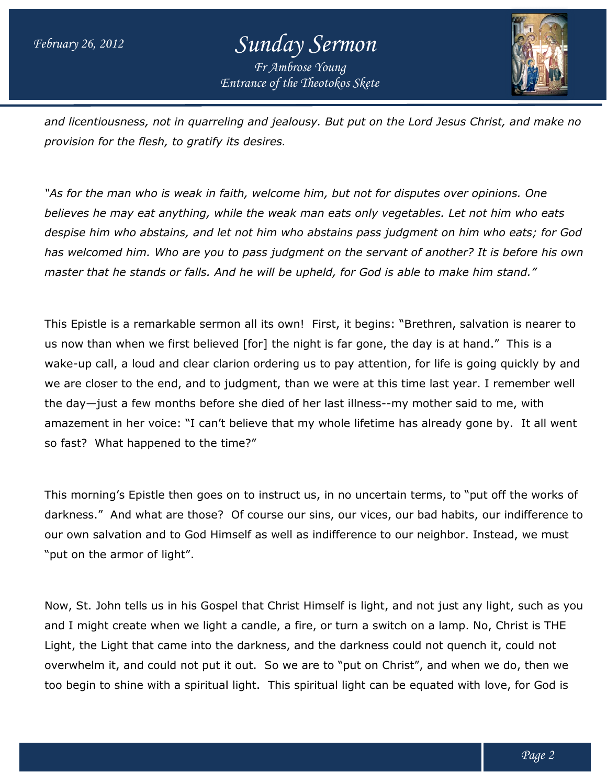

*and licentiousness, not in quarreling and jealousy. But put on the Lord Jesus Christ, and make no no provision for the flesh, to gratify its desires.*

*"As for the man who is weak in faith, welcome him, but not for disputes over opinions. One believes he may eat anything, while the weak man eats only vegetables. Let not him who eats despise him who abstains, and let not him who abstains pass judgment on him who eats; for God*  despise him who abstains, and let not him who abstains pass judgment on him who eats; for God<br>has welcomed him. Who are you to pass judgment on the servant of another? It is before his own *master that he stands or falls. And he will be upheld, for God is able to make him stand."* gratify its desires.<br>Pak in faith, welcome him, but not for disputes over opinions. One<br>Ping, while the weak man eats only vegetables. Let not him who eats

This Epistle is a remarkable sermon all its own! First, it begins: "Brethren, salvation is nearer to This Epistle is a remarkable sermon all its own! First, it begins: "Brethren, salvation is neare<br>us now than when we first believed [for] the night is far gone, the day is at hand." This is a wake-up call, a loud and clear clarion ordering us to pay attention, for life is going quickly by and wake-up call, a loud and clear clarion ordering us to pay attention, for life is going quickly by and<br>we are closer to the end, and to judgment, than we were at this time last year. I remember well the day—just a few months before she died of her last illness--my mother said to me, with the day—just a few months before she died of her last illness--my mother said to me, with<br>amazement in her voice: "I can't believe that my whole lifetime has already gone by. It all went amazement in her voice: "I can't belie<br>so fast? What happened to the time?"

This morning's Epistle then goes on to instruct us, in no uncertain terms, to "put off the works of This morning's Epistle then goes on to instruct us, in no uncertain terms, to "put off the works of<br>darkness." And what are those? Of course our sins, our vices, our bad habits, our indifference to darkness." And what are those? Of course our sins, our vices, our bad habits, our indifference<br>our own salvation and to God Himself as well as indifference to our neighbor. Instead, we must "put on the armor of light". our own salvation and to God Himself as well as indifference to our neighbor. Instead, we must<br>"put on the armor of light".<br>Now, St. John tells us in his Gospel that Christ Himself is light, and not just any light, such as

and I might create when we light a candle, a fire, or turn a switch on a lamp. No, Christ is THE Light, the Light that came into the darkness, and the darkness could not quench it, could not and I might create when we light a candle, a fire, or turn a switch on a lamp. No, Christ is THE<br>Light, the Light that came into the darkness, and the darkness could not quench it, could not<br>overwhelm it, and could not put too begin to shine with a spiritual light. This spiritual light can be equated with love, for God is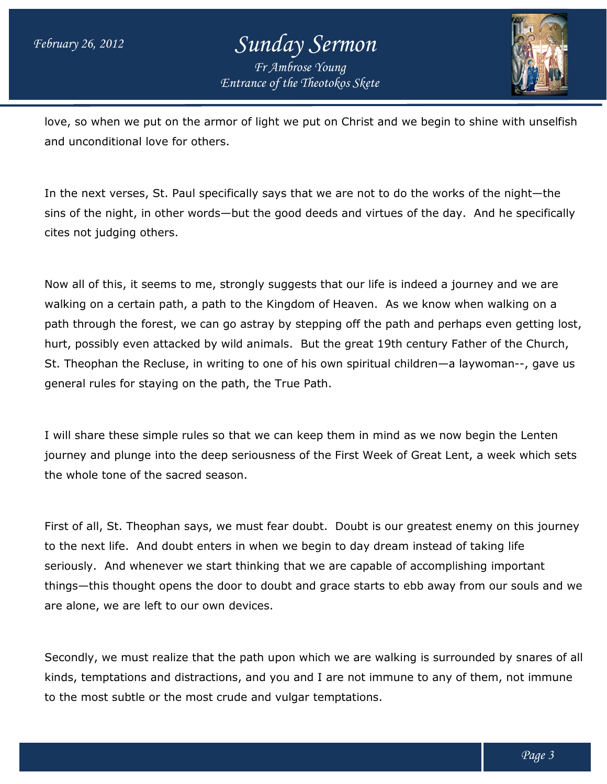

love, so when we put on the armor of light we put on Christ and we begin to shine with unselfish and unconditional love for others.

In the next verses, St. Paul specifically says that we are not to do the works of the night—the In the next verses, St. Paul specifically says that we are not to do the works of the night—the<br>sins of the night, in other words—but the good deeds and virtues of the day. And he specifically cites not judging others.

Now all of this, it seems to me, strongly suggests that our life is indeed a journey and we are Now all of this, it seems to me, strongly suggests that our life is indeed a journey and we are<br>walking on a certain path, a path to the Kingdom of Heaven. As we know when walking on a path through the forest, we can go astray by stepping off the path and perhaps even getting lost, hurt, possibly even attacked by wild animals. But the great 19th century Father of the Church, St. Theophan the Recluse, in writing to one of his own spiritual children—a laywoman general rules for staying on the path, the True Path. n and perhaps even getting lost<br>century Father of the Church,<br>ildren—a laywoman--, gave us

I will share these simple rules so that we can keep them in mind as we now begin the Lenten journey and plunge into the deep seriousness of the First Week of Great Lent, a week which sets the whole tone of the sacred season. I will share these simple rules so that we can keep them in mind as we now begin the Lenten<br>journey and plunge into the deep seriousness of the First Week of Great Lent, a week which sets<br>the whole tone of the sacred seaso

to the next life. And doubt enters in when we begin to day dream instead of taking life seriously. And whenever we start thinking that we are capable of accomplishing important seriously. And whenever we start thinking that we are capable of accomplishing important<br>things—this thought opens the door to doubt and grace starts to ebb away from our souls and we are alone, we are left to our own devices.

Secondly, we must realize that the path upon which we are walking is surrounded by snares of all kinds, temptations and distractions, and you and I are not immune to any of them, not immune<br>to the most subtle or the most crude and vulgar temptations. to the most subtle or the most crude and vulgar temptations.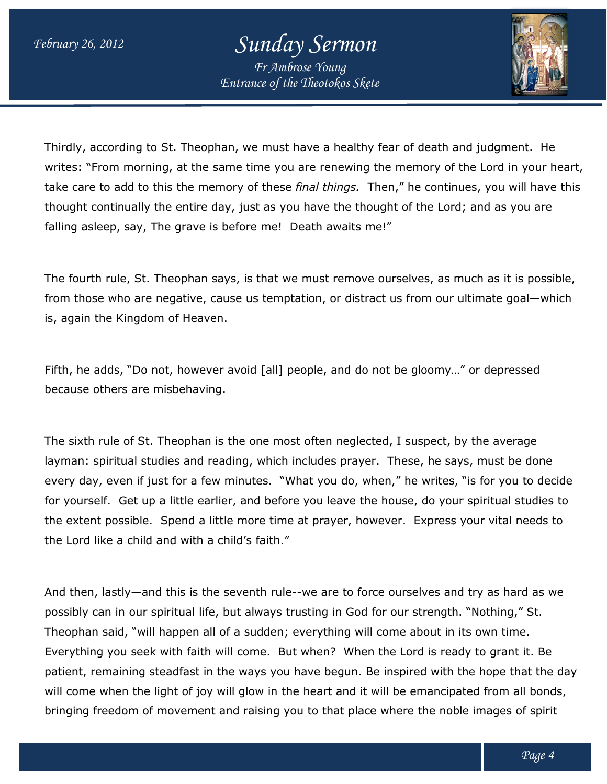

Thirdly, according to St. Theophan, we must have a healthy fear of death and judgment. He writes: "From morning, at the same time you are renewing the memory of the Lord in your heart, Thirdly, according to St. Theophan, we must have a healthy fear of death and judgment. He<br>writes: "From morning, at the same time you are renewing the memory of the Lord in your heart,<br>take care to add to this the memory o thought continually the entire day, just as you have the thought of the Lord; and as you are<br>falling asleep, say, The grave is before me! Death awaits me!" falling asleep, say, The grave is before me! Death awaits me!"

The fourth rule, St. Theophan says, is that we must remove ourselves, as much as it is possible, from those who are negative, cause us temptation, or distract us from our u ultimate goal—which is, again the Kingdom of Heaven.

Fifth, he adds, "Do not, however avoid [all] people, and do not be gloomy…" or depressed because others are misbehaving.

The sixth rule of St. Theophan is the one most often neglected, I suspect, by the average layman: spiritual studies and reading, which includes prayer. These, he says, must be done every day, even if just for a few minutes. "What you do, when," he writes, "is for you to decide for yourself. Get up a little earlier, and before you leave the house, do your spiritual studies to the extent possible. Spend a little more time at prayer, however. however. Express your vital needs to the Lord like a child and with a child's faith." from those who are negative, cause us temptation, or distract us from our ultimate goal—wh<br>is, again the Kingdom of Heaven.<br>Fifth, he adds, "Do not, however avoid [all] people, and do not be gloomy…" or depressed<br>because o prayer. These, he says, must be done<br>do, when," he writes, "is for you to de-<br>we the house, do your spiritual studies<br>er, however. Express your vital needs<br>to force ourselves and try as hard as v<br>God for our strength. "Not

And then, lastly—and this is the seventh rule--we are to force ourselves and try as hard as we possibly can in our spiritual life, but always trusting in God for our strength. "Nothing," St. Theophan said, "will happen all of a sudden; everything will come about in its own time. Everything you seek with faith will come. But when? When the Lord patient, remaining steadfast in the ways you have begun. Be inspired with the hope that the day patient, remaining steadfast in the ways you have begun. Be inspired with the hope that the da<br>will come when the light of joy will glow in the heart and it will be emancipated from all bonds, bringing freedom of movement and raising you to that place where the noble images of spirit in our spiritual life, but always trusting in God for our strength. "Nothing," St.<br>id, "will happen all of a sudden; everything will come about in its own time.<br>ou seek with faith will come. But when? When the Lord is re